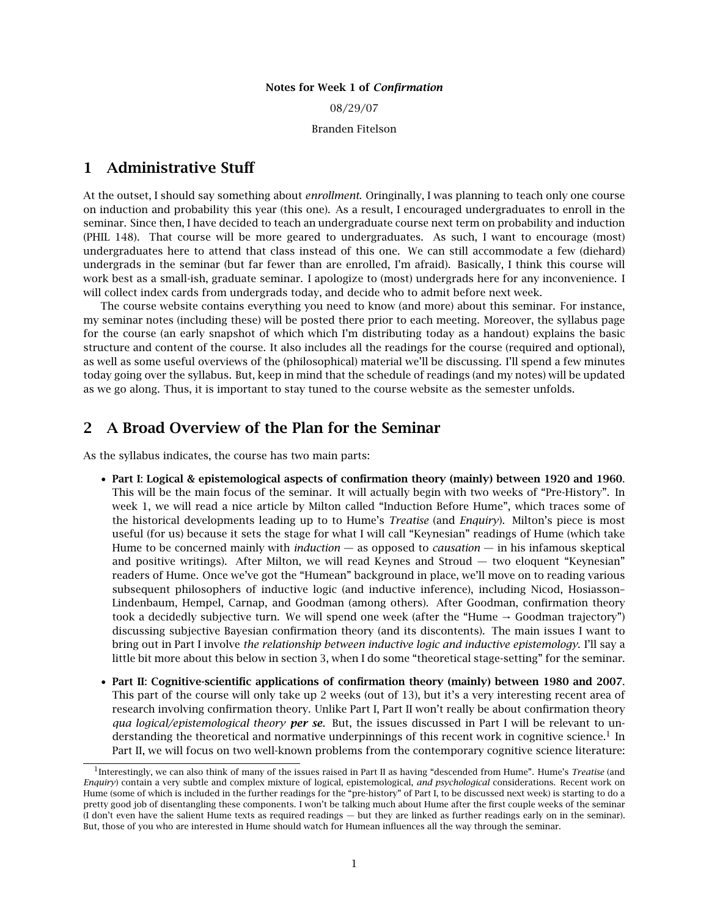#### Notes for Week 1 of *Confirmation*

08/29/07

Branden Fitelson

# 1 Administrative Stuff

At the outset, I should say something about *enrollment*. Oringinally, I was planning to teach only one course on induction and probability this year (this one). As a result, I encouraged undergraduates to enroll in the seminar. Since then, I have decided to teach an undergraduate course next term on probability and induction (PHIL 148). That course will be more geared to undergraduates. As such, I want to encourage (most) undergraduates here to attend that class instead of this one. We can still accommodate a few (diehard) undergrads in the seminar (but far fewer than are enrolled, I'm afraid). Basically, I think this course will work best as a small-ish, graduate seminar. I apologize to (most) undergrads here for any inconvenience. I will collect index cards from undergrads today, and decide who to admit before next week.

The course website contains everything you need to know (and more) about this seminar. For instance, my seminar notes (including these) will be posted there prior to each meeting. Moreover, the syllabus page for the course (an early snapshot of which which I'm distributing today as a handout) explains the basic structure and content of the course. It also includes all the readings for the course (required and optional), as well as some useful overviews of the (philosophical) material we'll be discussing. I'll spend a few minutes today going over the syllabus. But, keep in mind that the schedule of readings (and my notes) will be updated as we go along. Thus, it is important to stay tuned to the course website as the semester unfolds.

# 2 A Broad Overview of the Plan for the Seminar

As the syllabus indicates, the course has two main parts:

- Part I: Logical & epistemological aspects of confirmation theory (mainly) between 1920 and 1960. This will be the main focus of the seminar. It will actually begin with two weeks of "Pre-History". In week 1, we will read a nice article by Milton called "Induction Before Hume", which traces some of the historical developments leading up to to Hume's *Treatise* (and *Enquiry*). Milton's piece is most useful (for us) because it sets the stage for what I will call "Keynesian" readings of Hume (which take Hume to be concerned mainly with *induction* — as opposed to *causation* — in his infamous skeptical and positive writings). After Milton, we will read Keynes and Stroud — two eloquent "Keynesian" readers of Hume. Once we've got the "Humean" background in place, we'll move on to reading various subsequent philosophers of inductive logic (and inductive inference), including Nicod, Hosiasson– Lindenbaum, Hempel, Carnap, and Goodman (among others). After Goodman, confirmation theory took a decidedly subjective turn. We will spend one week (after the "Hume  $\rightarrow$  Goodman trajectory") discussing subjective Bayesian confirmation theory (and its discontents). The main issues I want to bring out in Part I involve *the relationship between inductive logic and inductive epistemology*. I'll say a little bit more about this below in section 3, when I do some "theoretical stage-setting" for the seminar.
- Part II: Cognitive-scientific applications of confirmation theory (mainly) between 1980 and 2007. This part of the course will only take up 2 weeks (out of 13), but it's a very interesting recent area of research involving confirmation theory. Unlike Part I, Part II won't really be about confirmation theory *qua logical/epistemological theory per se*. But, the issues discussed in Part I will be relevant to understanding the theoretical and normative underpinnings of this recent work in cognitive science.<sup>1</sup> In Part II, we will focus on two well-known problems from the contemporary cognitive science literature:

<sup>&</sup>lt;sup>1</sup> Interestingly, we can also think of many of the issues raised in Part II as having "descended from Hume". Hume's *Treatise* (and *Enquiry*) contain a very subtle and complex mixture of logical, epistemological, *and psychological* considerations. Recent work on Hume (some of which is included in the further readings for the "pre-history" of Part I, to be discussed next week) is starting to do a pretty good job of disentangling these components. I won't be talking much about Hume after the first couple weeks of the seminar (I don't even have the salient Hume texts as required readings — but they are linked as further readings early on in the seminar). But, those of you who are interested in Hume should watch for Humean influences all the way through the seminar.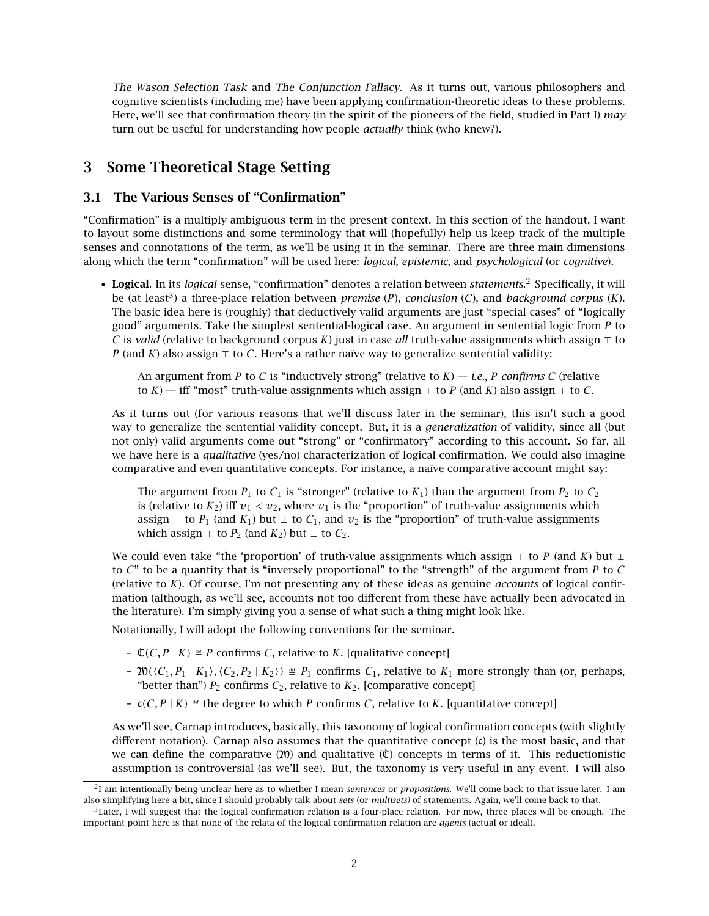The Wason Selection Task and The Conjunction Fallacy. As it turns out, various philosophers and cognitive scientists (including me) have been applying confirmation-theoretic ideas to these problems. Here, we'll see that confirmation theory (in the spirit of the pioneers of the field, studied in Part I) *may* turn out be useful for understanding how people *actually* think (who knew?).

# 3 Some Theoretical Stage Setting

## 3.1 The Various Senses of "Confirmation"

"Confirmation" is a multiply ambiguous term in the present context. In this section of the handout, I want to layout some distinctions and some terminology that will (hopefully) help us keep track of the multiple senses and connotations of the term, as we'll be using it in the seminar. There are three main dimensions along which the term "confirmation" will be used here: *logical*, *epistemic*, and *psychological* (or *cognitive*).

• Logical. In its *logical* sense, "confirmation" denotes a relation between *statements*. <sup>2</sup> Specifically, it will be (at least<sup>3</sup> ) a three-place relation between *premise* (*P*), *conclusion* (*C*), and *background corpus* (*K*). The basic idea here is (roughly) that deductively valid arguments are just "special cases" of "logically good" arguments. Take the simplest sentential-logical case. An argument in sentential logic from *P* to *C* is *valid* (relative to background corpus *K*) just in case *all* truth-value assignments which assign  $\tau$  to *P* (and *K*) also assign  $\top$  to *C*. Here's a rather naïve way to generalize sentential validity:

An argument from *P* to *C* is "inductively strong" (relative to  $K$ ) — *i.e.*, *P confirms C* (relative to  $K$ ) — iff "most" truth-value assignments which assign  $\top$  to *P* (and *K*) also assign  $\top$  to *C*.

As it turns out (for various reasons that we'll discuss later in the seminar), this isn't such a good way to generalize the sentential validity concept. But, it is a *generalization* of validity, since all (but not only) valid arguments come out "strong" or "confirmatory" according to this account. So far, all we have here is a *qualitative* (yes/no) characterization of logical confirmation. We could also imagine comparative and even quantitative concepts. For instance, a naïve comparative account might say:

The argument from  $P_1$  to  $C_1$  is "stronger" (relative to  $K_1$ ) than the argument from  $P_2$  to  $C_2$ is (relative to  $K_2$ ) iff  $v_1 < v_2$ , where  $v_1$  is the "proportion" of truth-value assignments which assign  $\tau$  to  $P_1$  (and  $K_1$ ) but  $\bot$  to  $C_1$ , and  $\nu_2$  is the "proportion" of truth-value assignments which assign  $\top$  to *P*<sub>2</sub> (and *K*<sub>2</sub>) but ⊥ to *C*<sub>2</sub>.

We could even take "the 'proportion' of truth-value assignments which assign  $\tau$  to *P* (and *K*) but  $\bot$ to *C*" to be a quantity that is "inversely proportional" to the "strength" of the argument from *P* to *C* (relative to *K*). Of course, I'm not presenting any of these ideas as genuine *accounts* of logical confirmation (although, as we'll see, accounts not too different from these have actually been advocated in the literature). I'm simply giving you a sense of what such a thing might look like.

Notationally, I will adopt the following conventions for the seminar.

- $-\mathcal{C}(C, P \mid K) \cong P$  confirms *C*, relative to *K*. [qualitative concept]
- $-$  20( $\langle C_1, P_1 | K_1 \rangle$ ,  $\langle C_2, P_2 | K_2 \rangle$ )  $\cong P_1$  confirms  $C_1$ , relative to  $K_1$  more strongly than (or, perhaps, "better than")  $P_2$  confirms  $C_2$ , relative to  $K_2$ . [comparative concept]
- $c(C, P | K)$  ≝ the degree to which *P* confirms *C*, relative to *K*. [quantitative concept]

As we'll see, Carnap introduces, basically, this taxonomy of logical confirmation concepts (with slightly different notation). Carnap also assumes that the quantitative concept (c) is the most basic, and that we can define the comparative  $(20)$  and qualitative  $(\mathbb{C})$  concepts in terms of it. This reductionistic assumption is controversial (as we'll see). But, the taxonomy is very useful in any event. I will also

<sup>2</sup> I am intentionally being unclear here as to whether I mean *sentences* or *propositions*. We'll come back to that issue later. I am also simplifying here a bit, since I should probably talk about *sets* (or *multisets)* of statements. Again, we'll come back to that.

 $3$ Later, I will suggest that the logical confirmation relation is a four-place relation. For now, three places will be enough. The important point here is that none of the relata of the logical confirmation relation are *agents* (actual or ideal).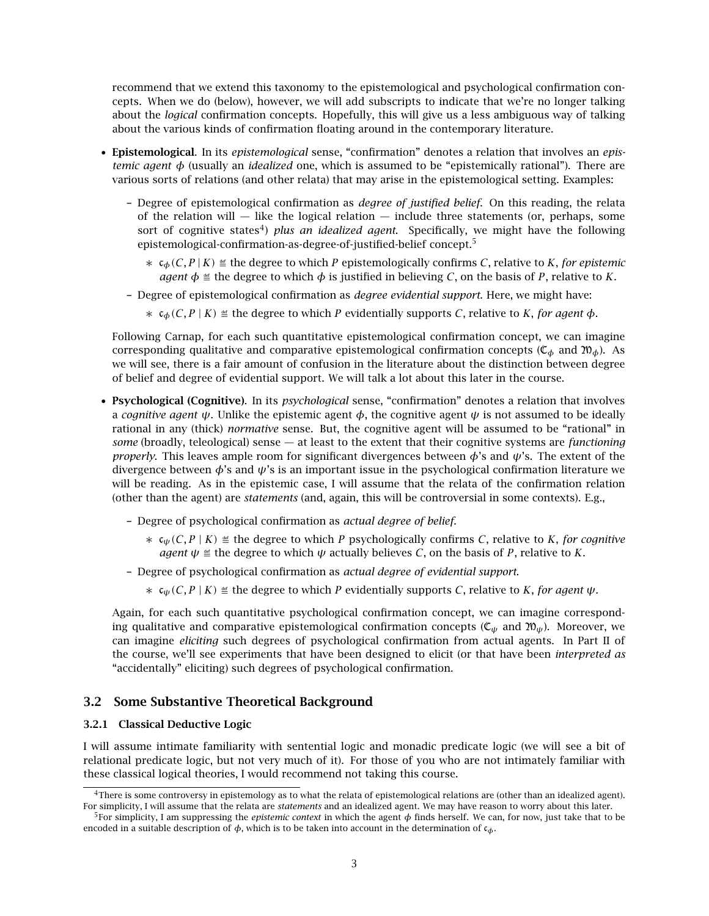recommend that we extend this taxonomy to the epistemological and psychological confirmation concepts. When we do (below), however, we will add subscripts to indicate that we're no longer talking about the *logical* confirmation concepts. Hopefully, this will give us a less ambiguous way of talking about the various kinds of confirmation floating around in the contemporary literature.

- Epistemological. In its *epistemological* sense, "confirmation" denotes a relation that involves an *epistemic agent φ* (usually an *idealized* one, which is assumed to be "epistemically rational"). There are various sorts of relations (and other relata) that may arise in the epistemological setting. Examples:
	- Degree of epistemological confirmation as *degree of justified belief*. On this reading, the relata of the relation will  $-$  like the logical relation  $-$  include three statements (or, perhaps, some sort of cognitive states<sup>4</sup>) *plus an idealized agent*. Specifically, we might have the following epistemological-confirmation-as-degree-of-justified-belief concept.<sup>5</sup>
		- $\star$   $\epsilon_{\phi}(C, P | K)$  ≝ the degree to which *P* epistemologically confirms *C*, relative to *K*, *for epistemic agent*  $\phi \leq$  the degree to which  $\phi$  is justified in believing *C*, on the basis of *P*, relative to *K*.
	- Degree of epistemological confirmation as *degree evidential support*. Here, we might have:
		- $\star$  **c**<sub>*φ*</sub>(*C*, *P* | *K*) ≝ the degree to which *P* evidentially supports *C*, relative to *K*, *for agent*  $\phi$ .

Following Carnap, for each such quantitative epistemological confirmation concept, we can imagine corresponding qualitative and comparative epistemological confirmation concepts ( $\mathfrak{C}_{\phi}$  and  $\mathfrak{M}_{\phi}$ ). As we will see, there is a fair amount of confusion in the literature about the distinction between degree of belief and degree of evidential support. We will talk a lot about this later in the course.

- Psychological (Cognitive). In its *psychological* sense, "confirmation" denotes a relation that involves a *cognitive agent*  $\psi$ . Unlike the epistemic agent  $\phi$ , the cognitive agent  $\psi$  is not assumed to be ideally rational in any (thick) *normative* sense. But, the cognitive agent will be assumed to be "rational" in *some* (broadly, teleological) sense — at least to the extent that their cognitive systems are *functioning properly*. This leaves ample room for significant divergences between *φ*'s and *ψ*'s. The extent of the divergence between *φ*'s and *ψ*'s is an important issue in the psychological confirmation literature we will be reading. As in the epistemic case, I will assume that the relata of the confirmation relation (other than the agent) are *statements* (and, again, this will be controversial in some contexts). E.g.,
	- Degree of psychological confirmation as *actual degree of belief*.
		- ∗ c*ψ(C, P* | *K)* Ö the degree to which *P* psychologically confirms *C*, relative to *K*, *for cognitive agent*  $\psi \triangleq$  the degree to which  $\psi$  actually believes *C*, on the basis of *P*, relative to *K*.
	- Degree of psychological confirmation as *actual degree of evidential support*.
		- $*$   $c<sub>ψ</sub>(C, P | K)$  ≝ the degree to which *P* evidentially supports *C*, relative to *K*, *for agent*  $ψ$ .

Again, for each such quantitative psychological confirmation concept, we can imagine corresponding qualitative and comparative epistemological confirmation concepts ( $C_{\psi}$  and  $\mathfrak{W}_{\psi}$ ). Moreover, we can imagine *eliciting* such degrees of psychological confirmation from actual agents. In Part II of the course, we'll see experiments that have been designed to elicit (or that have been *interpreted as* "accidentally" eliciting) such degrees of psychological confirmation.

### 3.2 Some Substantive Theoretical Background

### 3.2.1 Classical Deductive Logic

I will assume intimate familiarity with sentential logic and monadic predicate logic (we will see a bit of relational predicate logic, but not very much of it). For those of you who are not intimately familiar with these classical logical theories, I would recommend not taking this course.

<sup>4</sup>There is some controversy in epistemology as to what the relata of epistemological relations are (other than an idealized agent). For simplicity, I will assume that the relata are *statements* and an idealized agent. We may have reason to worry about this later.

<sup>5</sup>For simplicity, I am suppressing the *epistemic context* in which the agent *φ* finds herself. We can, for now, just take that to be encoded in a suitable description of *φ*, which is to be taken into account in the determination of c*φ*.